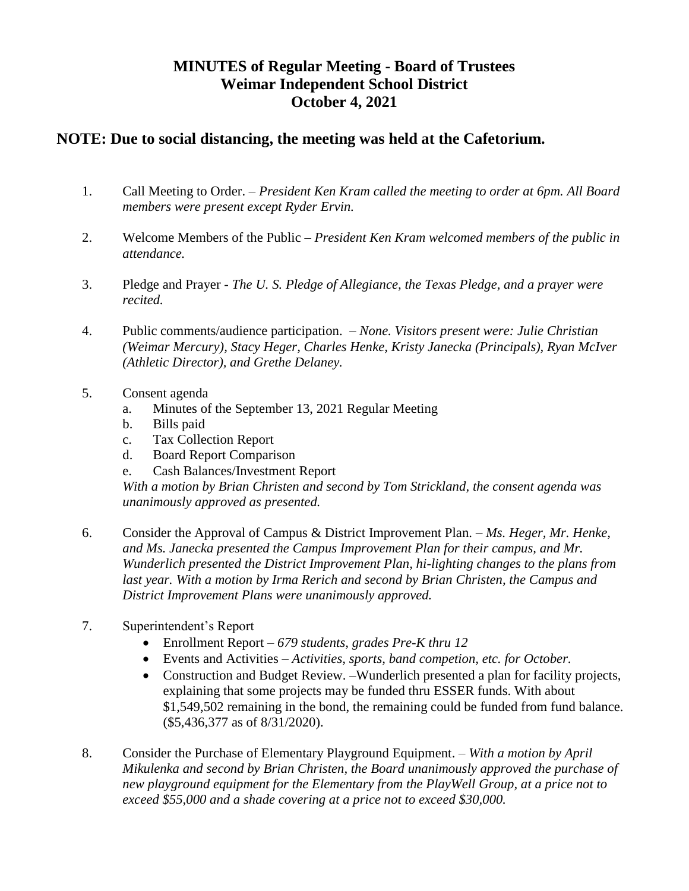## **MINUTES of Regular Meeting - Board of Trustees Weimar Independent School District October 4, 2021**

## **NOTE: Due to social distancing, the meeting was held at the Cafetorium.**

- 1. Call Meeting to Order. *President Ken Kram called the meeting to order at 6pm. All Board members were present except Ryder Ervin.*
- 2. Welcome Members of the Public *President Ken Kram welcomed members of the public in attendance.*
- 3. Pledge and Prayer *The U. S. Pledge of Allegiance, the Texas Pledge, and a prayer were recited.*
- 4. Public comments/audience participation. *None. Visitors present were: Julie Christian (Weimar Mercury), Stacy Heger, Charles Henke, Kristy Janecka (Principals), Ryan McIver (Athletic Director), and Grethe Delaney.*
- 5. Consent agenda
	- a. Minutes of the September 13, 2021 Regular Meeting
	- b. Bills paid
	- c. Tax Collection Report
	- d. Board Report Comparison
	- e. Cash Balances/Investment Report

*With a motion by Brian Christen and second by Tom Strickland, the consent agenda was unanimously approved as presented.* 

- 6. Consider the Approval of Campus & District Improvement Plan. *Ms. Heger, Mr. Henke, and Ms. Janecka presented the Campus Improvement Plan for their campus, and Mr. Wunderlich presented the District Improvement Plan, hi-lighting changes to the plans from*  last year. With a motion by Irma Rerich and second by Brian Christen, the Campus and *District Improvement Plans were unanimously approved.*
- 7. Superintendent's Report
	- Enrollment Report *679 students, grades Pre-K thru 12*
	- Events and Activities *– Activities, sports, band competion, etc. for October.*
	- Construction and Budget Review. –Wunderlich presented a plan for facility projects, explaining that some projects may be funded thru ESSER funds. With about \$1,549,502 remaining in the bond, the remaining could be funded from fund balance. (\$5,436,377 as of 8/31/2020).
- 8. Consider the Purchase of Elementary Playground Equipment. *– With a motion by April Mikulenka and second by Brian Christen, the Board unanimously approved the purchase of new playground equipment for the Elementary from the PlayWell Group, at a price not to exceed \$55,000 and a shade covering at a price not to exceed \$30,000.*